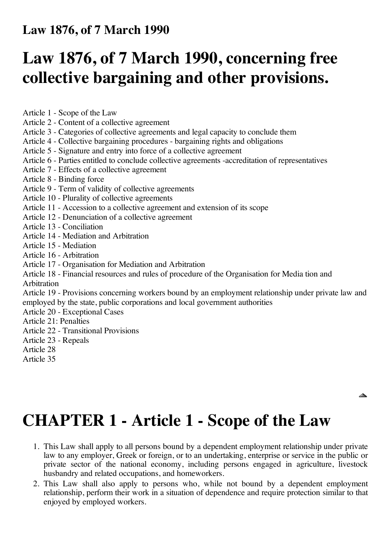#### **Law 1876, of 7 March 1990**

## **Law 1876, of 7 March 1990, concerning free collective bargaining and other provisions.**

Article 1 - Scope of the Law

- Article 2 Content of a collective agreement
- Article 3 Categories of collective agreements and legal capacity to conclude them
- Article 4 Collective bargaining procedures bargaining rights and obligations
- Article 5 Signature and entry into force of a collective agreement
- Article 6 Parties entitled to conclude collective agreements -accreditation of representatives
- Article 7 Effects of a collective agreement
- Article 8 Binding force
- Article 9 Term of validity of collective agreements
- Article 10 Plurality of collective agreements
- Article 11 Accession to a collective agreement and extension of its scope
- Article 12 Denunciation of a collective agreement
- Article 13 Conciliation
- Article 14 Mediation and Arbitration
- Article 15 Mediation
- Article 16 Arbitration
- Article 17 Organisation for Mediation and Arbitration
- Article 18 Financial resources and rules of procedure of the Organisation for Media tion and Arbitration

Article 19 - Provisions concerning workers bound by an employment relationship under private law and employed by the state, public corporations and local government authorities

- Article 20 Exceptional Cases
- Article 21: Penalties
- Article 22 Transitional Provisions
- Article 23 Repeals
- Article 28
- Article 35

**CHAPTER 1 - Article 1 - Scope of the Law**

1. This Law shall apply to all persons bound by a dependent employment relationship under private law to any employer, Greek or foreign, or to an undertaking, enterprise or service in the public or private sector of the national economy, including persons engaged in agriculture, livestock husbandry and related occupations, and homeworkers.

 $\triangle$ 

2. This Law shall also apply to persons who, while not bound by a dependent employment relationship, perform their work in a situation of dependence and require protection similar to that enjoyed by employed workers.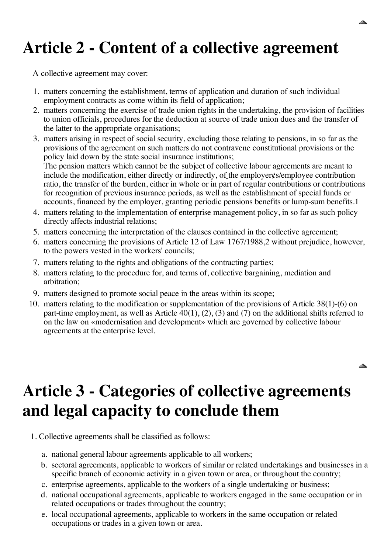# **Article 2 - Content of a collective agreement**

A collective agreement may cover:

- 1. matters concerning the establishment, terms of application and duration of such individual employment contracts as come within its field of application;
- 2. matters concerning the exercise of trade union rights in the undertaking, the provision of facilities to union officials, procedures for the deduction at source of trade union dues and the transfer of the latter to the appropriate organisations;
- 3. matters arising in respect of social security, excluding those relating to pensions, in so far as the provisions of the agreement on such matters do not contravene constitutional provisions or the policy laid down by the state social insurance institutions; The pension matters which cannot be the subject of collective labour agreements are meant to include the modification, either directly or indirectly, of the employer¢s/employee contribution ratio, the transfer of the burden, either in whole or in part of regular contributions or contributions for recognition of previous insurance periods, as well as the establishment of special funds or accounts, financed by the employer, granting periodic pensions benefits or lump-sum benefits.1
- 4. matters relating to the implementation of enterprise management policy, in so far as such policy directly affects industrial relations;
- 5. matters concerning the interpretation of the clauses contained in the collective agreement;
- 6. matters concerning the provisions of Article 12 of Law 1767/1988,2 without prejudice, however, to the powers vested in the workers' councils;
- 7. matters relating to the rights and obligations of the contracting parties;
- 8. matters relating to the procedure for, and terms of, collective bargaining, mediation and arbitration;
- 9. matters designed to promote social peace in the areas within its scope;
- 10. matters relating to the modification or supplementation of the provisions of Article 38(1)-(6) on part-time employment, as well as Article 40(1), (2), (3) and (7) on the additional shifts referred to on the law on «modernisation and development» which are governed by collective labour agreements at the enterprise level.

#### **Article 3 - Categories of collective agreements and legal capacity to conclude them**

- 1. Collective agreements shall be classified as follows:
	- a. national general labour agreements applicable to all workers;
	- b. sectoral agreements, applicable to workers of similar or related undertakings and businesses in a specific branch of economic activity in a given town or area, or throughout the country;
	- c. enterprise agreements, applicable to the workers of a single undertaking or business;
	- d. national occupational agreements, applicable to workers engaged in the same occupation or in related occupations or trades throughout the country;
	- e. local occupational agreements, applicable to workers in the same occupation or related occupations or trades in a given town or area.

 $\triangle$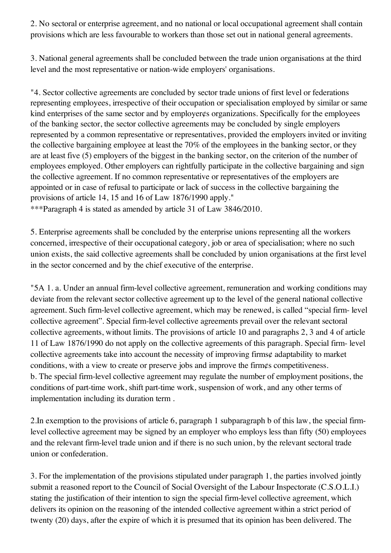2. No sectoral or enterprise agreement, and no national or local occupational agreement shall contain provisions which are less favourable to workers than those set out in national general agreements.

3. National general agreements shall be concluded between the trade union organisations at the third level and the most representative or nation-wide employers' organisations.

"4. Sector collective agreements are concluded by sector trade unions of first level or federations representing employees, irrespective of their occupation or specialisation employed by similar or same kind enterprises of the same sector and by employer¢s organizations. Specifically for the employees of the banking sector, the sector collective agreements may be concluded by single employers represented by a common representative or representatives, provided the employers invited or inviting the collective bargaining employee at least the 70% of the employees in the banking sector, or they are at least five (5) employers of the biggest in the banking sector, on the criterion of the number of employees employed. Other employers can rightfully participate in the collective bargaining and sign the collective agreement. If no common representative or representatives of the employers are appointed or in case of refusal to participate or lack of success in the collective bargaining the provisions of article 14, 15 and 16 of Law 1876/1990 apply."

\*\*\*Paragraph 4 is stated as amended by article 31 of Law 3846/2010.

5. Enterprise agreements shall be concluded by the enterprise unions representing all the workers concerned, irrespective of their occupational category, job or area of specialisation; where no such union exists, the said collective agreements shall be concluded by union organisations at the first level in the sector concerned and by the chief executive of the enterprise.

"5A 1. a. Under an annual firm-level collective agreement, remuneration and working conditions may deviate from the relevant sector collective agreement up to the level of the general national collective agreement. Such firm-level collective agreement, which may be renewed, is called "special firm- level collective agreement". Special firm-level collective agreements prevail over the relevant sectoral collective agreements, without limits. The provisions of article 10 and paragraphs 2, 3 and 4 of article 11 of Law 1876/1990 do not apply on the collective agreements of this paragraph. Special firm- level collective agreements take into account the necessity of improving firms¢ adaptability to market conditions, with a view to create or preserve jobs and improve the firm¢s competitiveness. b. The special firm-level collective agreement may regulate the number of employment positions, the conditions of part-time work, shift part-time work, suspension of work, and any other terms of implementation including its duration term .

2.In exemption to the provisions of article 6, paragraph 1 subparagraph b of this law, the special firmlevel collective agreement may be signed by an employer who employs less than fifty (50) employees and the relevant firm-level trade union and if there is no such union, by the relevant sectoral trade union or confederation.

3. For the implementation of the provisions stipulated under paragraph 1, the parties involved jointly submit a reasoned report to the Council of Social Oversight of the Labour Inspectorate (C.S.O.L.I.) stating the justification of their intention to sign the special firm-level collective agreement, which delivers its opinion on the reasoning of the intended collective agreement within a strict period of twenty (20) days, after the expire of which it is presumed that its opinion has been delivered. The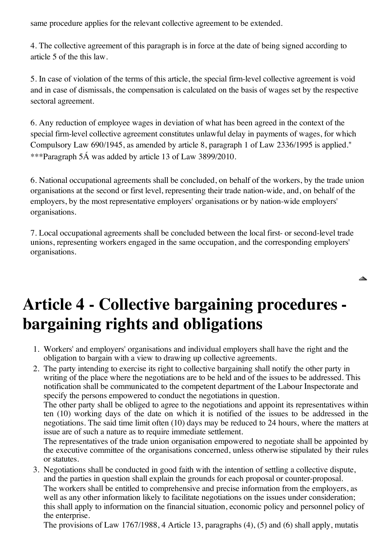same procedure applies for the relevant collective agreement to be extended.

4. The collective agreement of this paragraph is in force at the date of being signed according to article 5 of the this law.

5. In case of violation of the terms of this article, the special firm-level collective agreement is void and in case of dismissals, the compensation is calculated on the basis of wages set by the respective sectoral agreement.

6. Any reduction of employee wages in deviation of what has been agreed in the context of the special firm-level collective agreement constitutes unlawful delay in payments of wages, for which Compulsory Law 690/1945, as amended by article 8, paragraph 1 of Law 2336/1995 is applied." \*\*\*Paragraph 5Á was added by article 13 of Law 3899/2010.

6. National occupational agreements shall be concluded, on behalf of the workers, by the trade union organisations at the second or first level, representing their trade nation-wide, and, on behalf of the employers, by the most representative employers' organisations or by nation-wide employers' organisations.

7. Local occupational agreements shall be concluded between the local first- or second-level trade unions, representing workers engaged in the same occupation, and the corresponding employers' organisations.

◬

## **Article 4 - Collective bargaining procedures bargaining rights and obligations**

- 1. Workers' and employers' organisations and individual employers shall have the right and the obligation to bargain with a view to drawing up collective agreements.
- 2. The party intending to exercise its right to collective bargaining shall notify the other party in writing of the place where the negotiations are to be held and of the issues to be addressed. This notification shall be communicated to the competent department of the Labour Inspectorate and specify the persons empowered to conduct the negotiations in question.

The other party shall be obliged to agree to the negotiations and appoint its representatives within ten (10) working days of the date on which it is notified of the issues to be addressed in the negotiations. The said time limit often (10) days may be reduced to 24 hours, where the matters at issue are of such a nature as to require immediate settlement.

The representatives of the trade union organisation empowered to negotiate shall be appointed by the executive committee of the organisations concerned, unless otherwise stipulated by their rules or statutes.

3. Negotiations shall be conducted in good faith with the intention of settling a collective dispute, and the parties in question shall explain the grounds for each proposal or counter-proposal.

The workers shall be entitled to comprehensive and precise information from the employers, as well as any other information likely to facilitate negotiations on the issues under consideration; this shall apply to information on the financial situation, economic policy and personnel policy of the enterprise.

The provisions of Law 1767/1988, 4 Article 13, paragraphs (4), (5) and (6) shall apply, mutatis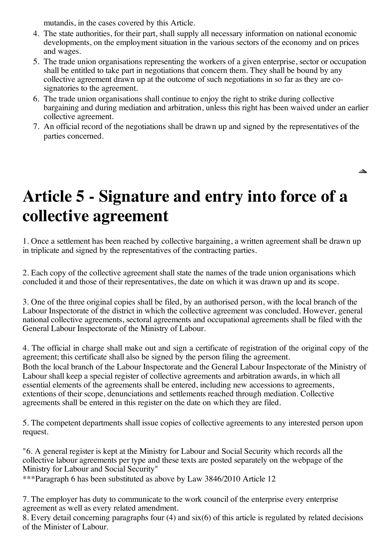mutandis, in the cases covered by this Article.

- 4. The state authorities, for their part, shall supply all necessary information on national economic developments, on the employment situation in the various sectors of the economy and on prices and wages.
- 5. The trade union organisations representing the workers of a given enterprise, sector or occupation shall be entitled to take part in negotiations that concern them. They shall be bound by any collective agreement drawn up at the outcome of such negotiations in so far as they are cosignatories to the agreement.
- 6. The trade union organisations shall continue to enjoy the right to strike during collective bargaining and during mediation and arbitration, unless this right has been waived under an earlier collective agreement.
- 7. An official record of the negotiations shall be drawn up and signed by the representatives of the parties concerned.

▴

## **Article 5 - Signature and entry into force of a collective agreement**

1. Once a settlement has been reached by collective bargaining, a written agreement shall be drawn up in triplicate and signed by the representatives of the contracting parties.

2. Each copy of the collective agreement shall state the names of the trade union organisations which concluded it and those of their representatives, the date on which it was drawn up and its scope.

3. One of the three original copies shall be filed, by an authorised person, with the local branch of the Labour Inspectorate of the district in which the collective agreement was concluded. However, general national collective agreements, sectoral agreements and occupational agreements shall be filed with the General Labour Inspectorate of the Ministry of Labour.

4. The official in charge shall make out and sign a certificate of registration of the original copy of the agreement; this certificate shall also be signed by the person filing the agreement. Both the local branch of the Labour Inspectorate and the General Labour Inspectorate of the Ministry of Labour shall keep a special register of collective agreements and arbitration awards, in which all essential elements of the agreements shall be entered, including new accessions to agreements, extentions of their scope, denunciations and settlements reached through mediation. Collective agreements shall be entered in this register on the date on which they are filed.

5. The competent departments shall issue copies of collective agreements to any interested person upon request.

"6. A general register is kept at the Ministry for Labour and Social Security which records all the collective labour agreements per type and these texts are posted separately on the webpage of the Ministry for Labour and Social Security"

\*\*\*Paragraph 6 has been substituted as above by Law 3846/2010 Article 12

7. The employer has duty to communicate to the work council of the enterprise every enterprise agreement as well as every related amendment.

8. Every detail concerning paragraphs four (4) and six(6) of this article is regulated by related decisions of the Minister of Labour.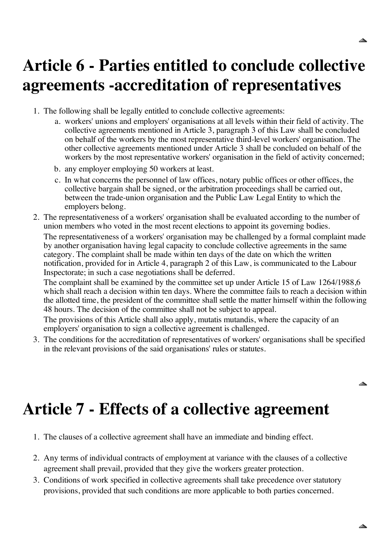### **Article 6 - Parties entitled to conclude collective agreements -accreditation of representatives**

- 1. The following shall be legally entitled to conclude collective agreements:
	- a. workers' unions and employers' organisations at all levels within their field of activity. The collective agreements mentioned in Article 3, paragraph 3 of this Law shall be concluded on behalf of the workers by the most representative third-level workers' organisation. The other collective agreements mentioned under Article 3 shall be concluded on behalf of the workers by the most representative workers' organisation in the field of activity concerned;
	- b. any employer employing 50 workers at least.
	- c. In what concerns the personnel of law offices, notary public offices or other offices, the collective bargain shall be signed, or the arbitration proceedings shall be carried out, between the trade-union organisation and the Public Law Legal Entity to which the employers belong.
- 2. The representativeness of a workers' organisation shall be evaluated according to the number of union members who voted in the most recent elections to appoint its governing bodies. The representativeness of a workers' organisation may be challenged by a formal complaint made by another organisation having legal capacity to conclude collective agreements in the same category. The complaint shall be made within ten days of the date on which the written notification, provided for in Article 4, paragraph 2 of this Law, is communicated to the Labour Inspectorate; in such a case negotiations shall be deferred.

The complaint shall be examined by the committee set up under Article 15 of Law 1264/1988,6 which shall reach a decision within ten days. Where the committee fails to reach a decision within the allotted time, the president of the committee shall settle the matter himself within the following 48 hours. The decision of the committee shall not be subject to appeal.

The provisions of this Article shall also apply, mutatis mutandis, where the capacity of an employers' organisation to sign a collective agreement is challenged.

3. The conditions for the accreditation of representatives of workers' organisations shall be specified in the relevant provisions of the said organisations' rules or statutes.

## **Article 7 - Effects of a collective agreement**

- 1. The clauses of a collective agreement shall have an immediate and binding effect.
- 2. Any terms of individual contracts of employment at variance with the clauses of a collective agreement shall prevail, provided that they give the workers greater protection.
- 3. Conditions of work specified in collective agreements shall take precedence over statutory provisions, provided that such conditions are more applicable to both parties concerned.

◬

◬

▴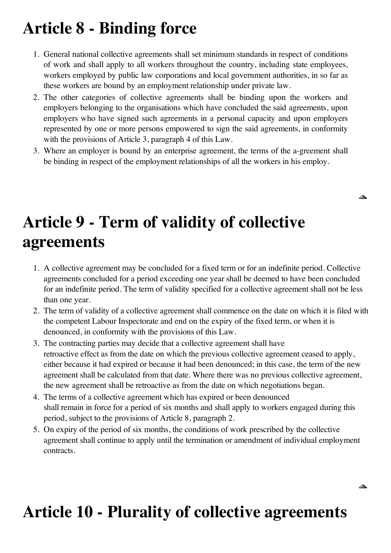## **Article 8 - Binding force**

- 1. General national collective agreements shall set minimum standards in respect of conditions of work and shall apply to all workers throughout the country, including state employees, workers employed by public law corporations and local government authorities, in so far as these workers are bound by an employment relationship under private law.
- 2. The other categories of collective agreements shall be binding upon the workers and employers belonging to the organisations which have concluded the said agreements, upon employers who have signed such agreements in a personal capacity and upon employers represented by one or more persons empowered to sign the said agreements, in conformity with the provisions of Article 3, paragraph 4 of this Law.
- 3. Where an employer is bound by an enterprise agreement, the terms of the a-greement shall be binding in respect of the employment relationships of all the workers in his employ.

◬

◬

## **Article 9 - Term of validity of collective agreements**

- 1. A collective agreement may be concluded for a fixed term or for an indefinite period. Collective agreements concluded for a period exceeding one year shall be deemed to have been concluded for an indefinite period. The term of validity specified for a collective agreement shall not be less than one year.
- 2. The term of validity of a collective agreement shall commence on the date on which it is filed with the competent Labour Inspectorate and end on the expiry of the fixed term, or when it is denounced, in conformity with the provisions of this Law.
- 3. The contracting parties may decide that a collective agreement shall have retroactive effect as from the date on which the previous collective agreement ceased to apply, either because it had expired or because it had been denounced; in this case, the term of the new agreement shall be calculated from that date. Where there was no previous collective agreement, the new agreement shall be retroactive as from the date on which negotiations began.
- 4. The terms of a collective agreement which has expired or been denounced shall remain in force for a period of six months and shall apply to workers engaged during this period, subject to the provisions of Article 8, paragraph 2.
- 5. On expiry of the period of six months, the conditions of work prescribed by the collective agreement shall continue to apply until the termination or amendment of individual employment contracts.

## **Article 10 - Plurality of collective agreements**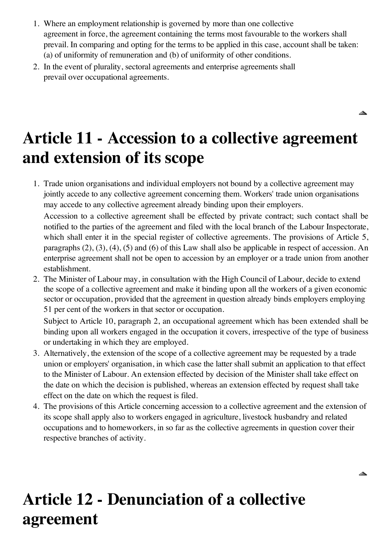- 1. Where an employment relationship is governed by more than one collective agreement in force, the agreement containing the terms most favourable to the workers shall prevail. In comparing and opting for the terms to be applied in this case, account shall be taken: (a) of uniformity of remuneration and (b) of uniformity of other conditions.
- 2. In the event of plurality, sectoral agreements and enterprise agreements shall prevail over occupational agreements.

## **Article 11 - Accession to a collective agreement and extension of its scope**

◬

◬

1. Trade union organisations and individual employers not bound by a collective agreement may jointly accede to any collective agreement concerning them. Workers' trade union organisations may accede to any collective agreement already binding upon their employers.

Accession to a collective agreement shall be effected by private contract; such contact shall be notified to the parties of the agreement and filed with the local branch of the Labour Inspectorate, which shall enter it in the special register of collective agreements. The provisions of Article 5, paragraphs (2), (3), (4), (5) and (6) of this Law shall also be applicable in respect of accession. An enterprise agreement shall not be open to accession by an employer or a trade union from another establishment.

2. The Minister of Labour may, in consultation with the High Council of Labour, decide to extend the scope of a collective agreement and make it binding upon all the workers of a given economic sector or occupation, provided that the agreement in question already binds employers employing 51 per cent of the workers in that sector or occupation.

Subject to Article 10, paragraph 2, an occupational agreement which has been extended shall be binding upon all workers engaged in the occupation it covers, irrespective of the type of business or undertaking in which they are employed.

- 3. Alternatively, the extension of the scope of a collective agreement may be requested by a trade union or employers' organisation, in which case the latter shall submit an application to that effect to the Minister of Labour. An extension effected by decision of the Minister shall take effect on the date on which the decision is published, whereas an extension effected by request shall take effect on the date on which the request is filed.
- 4. The provisions of this Article concerning accession to a collective agreement and the extension of its scope shall apply also to workers engaged in agriculture, livestock husbandry and related occupations and to homeworkers, in so far as the collective agreements in question cover their respective branches of activity.

## **Article 12 - Denunciation of a collective agreement**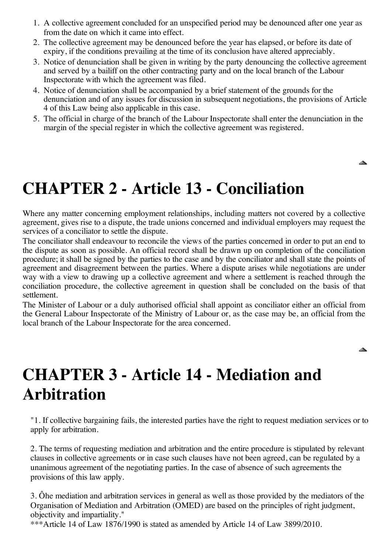- 1. A collective agreement concluded for an unspecified period may be denounced after one year as from the date on which it came into effect.
- 2. The collective agreement may be denounced before the year has elapsed, or before its date of expiry, if the conditions prevailing at the time of its conclusion have altered appreciably.
- 3. Notice of denunciation shall be given in writing by the party denouncing the collective agreement and served by a bailiff on the other contracting party and on the local branch of the Labour Inspectorate with which the agreement was filed.
- 4. Notice of denunciation shall be accompanied by a brief statement of the grounds for the denunciation and of any issues for discussion in subsequent negotiations, the provisions of Article 4 of this Law being also applicable in this case.
- 5. The official in charge of the branch of the Labour Inspectorate shall enter the denunciation in the margin of the special register in which the collective agreement was registered.

◬

▴

## **CHAPTER 2 - Article 13 - Conciliation**

Where any matter concerning employment relationships, including matters not covered by a collective agreement, gives rise to a dispute, the trade unions concerned and individual employers may request the services of a conciliator to settle the dispute.

The conciliator shall endeavour to reconcile the views of the parties concerned in order to put an end to the dispute as soon as possible. An official record shall be drawn up on completion of the conciliation procedure; it shall be signed by the parties to the case and by the conciliator and shall state the points of agreement and disagreement between the parties. Where a dispute arises while negotiations are under way with a view to drawing up a collective agreement and where a settlement is reached through the conciliation procedure, the collective agreement in question shall be concluded on the basis of that settlement.

The Minister of Labour or a duly authorised official shall appoint as conciliator either an official from the General Labour Inspectorate of the Ministry of Labour or, as the case may be, an official from the local branch of the Labour Inspectorate for the area concerned.

## **CHAPTER 3 - Article 14 - Mediation and Arbitration**

"1. If collective bargaining fails, the interested parties have the right to request mediation services or to apply for arbitration.

2. The terms of requesting mediation and arbitration and the entire procedure is stipulated by relevant clauses in collective agreements or in case such clauses have not been agreed, can be regulated by a unanimous agreement of the negotiating parties. In the case of absence of such agreements the provisions of this law apply.

3. Ôhe mediation and arbitration services in general as well as those provided by the mediators of the Organisation of Mediation and Arbitration (OMED) are based on the principles of right judgment, objectivity and impartiality."

\*\*\*Article 14 of Law 1876/1990 is stated as amended by Article 14 of Law 3899/2010.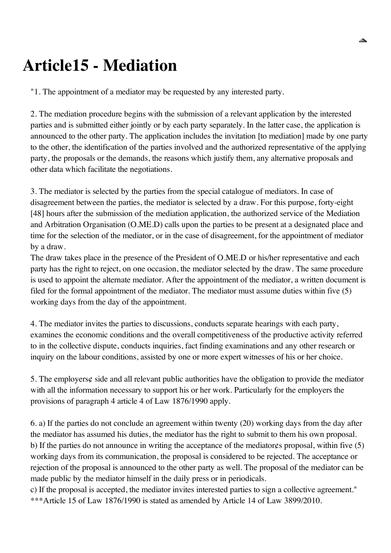## **Article15 - Mediation**

"1. The appointment of a mediator may be requested by any interested party.

2. The mediation procedure begins with the submission of a relevant application by the interested parties and is submitted either jointly or by each party separately. In the latter case, the application is announced to the other party. The application includes the invitation [to mediation] made by one party to the other, the identification of the parties involved and the authorized representative of the applying party, the proposals or the demands, the reasons which justify them, any alternative proposals and other data which facilitate the negotiations.

3. The mediator is selected by the parties from the special catalogue of mediators. In case of disagreement between the parties, the mediator is selected by a draw. For this purpose, forty-eight [48] hours after the submission of the mediation application, the authorized service of the Mediation and Arbitration Organisation (O.ME.D) calls upon the parties to be present at a designated place and time for the selection of the mediator, or in the case of disagreement, for the appointment of mediator by a draw.

The draw takes place in the presence of the President of O.ME.D or his/her representative and each party has the right to reject, on one occasion, the mediator selected by the draw. The same procedure is used to appoint the alternate mediator. After the appointment of the mediator, a written document is filed for the formal appointment of the mediator. The mediator must assume duties within five (5) working days from the day of the appointment.

4. The mediator invites the parties to discussions, conducts separate hearings with each party, examines the economic conditions and the overall competitiveness of the productive activity referred to in the collective dispute, conducts inquiries, fact finding examinations and any other research or inquiry on the labour conditions, assisted by one or more expert witnesses of his or her choice.

5. The employers¢ side and all relevant public authorities have the obligation to provide the mediator with all the information necessary to support his or her work. Particularly for the employers the provisions of paragraph 4 article 4 of Law 1876/1990 apply.

6. a) If the parties do not conclude an agreement within twenty (20) working days from the day after the mediator has assumed his duties, the mediator has the right to submit to them his own proposal. b) If the parties do not announce in writing the acceptance of the mediator¢s proposal, within five (5) working days from its communication, the proposal is considered to be rejected. The acceptance or rejection of the proposal is announced to the other party as well. The proposal of the mediator can be made public by the mediator himself in the daily press or in periodicals.

c) If the proposal is accepted, the mediator invites interested parties to sign a collective agreement." \*\*\*Article 15 of Law 1876/1990 is stated as amended by Article 14 of Law 3899/2010.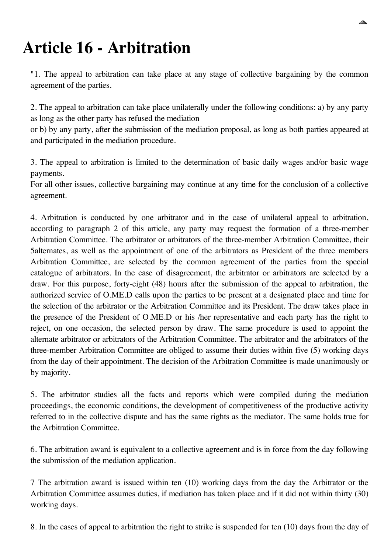## **Article 16 - Arbitration**

"1. The appeal to arbitration can take place at any stage of collective bargaining by the common agreement of the parties.

2. The appeal to arbitration can take place unilaterally under the following conditions: a) by any party as long as the other party has refused the mediation

or b) by any party, after the submission of the mediation proposal, as long as both parties appeared at and participated in the mediation procedure.

3. The appeal to arbitration is limited to the determination of basic daily wages and/or basic wage payments.

For all other issues, collective bargaining may continue at any time for the conclusion of a collective agreement.

4. Arbitration is conducted by one arbitrator and in the case of unilateral appeal to arbitration, according to paragraph 2 of this article, any party may request the formation of a three-member Arbitration Committee. The arbitrator or arbitrators of the three-member Arbitration Committee, their 5alternates, as well as the appointment of one of the arbitrators as President of the three members Arbitration Committee, are selected by the common agreement of the parties from the special catalogue of arbitrators. In the case of disagreement, the arbitrator or arbitrators are selected by a draw. For this purpose, forty-eight (48) hours after the submission of the appeal to arbitration, the authorized service of O.ME.D calls upon the parties to be present at a designated place and time for the selection of the arbitrator or the Arbitration Committee and its President. The draw takes place in the presence of the President of O.ME.D or his /her representative and each party has the right to reject, on one occasion, the selected person by draw. The same procedure is used to appoint the alternate arbitrator or arbitrators of the Arbitration Committee. The arbitrator and the arbitrators of the three-member Arbitration Committee are obliged to assume their duties within five (5) working days from the day of their appointment. The decision of the Arbitration Committee is made unanimously or by majority.

5. The arbitrator studies all the facts and reports which were compiled during the mediation proceedings, the economic conditions, the development of competitiveness of the productive activity referred to in the collective dispute and has the same rights as the mediator. The same holds true for the Arbitration Committee.

6. The arbitration award is equivalent to a collective agreement and is in force from the day following the submission of the mediation application.

7 The arbitration award is issued within ten (10) working days from the day the Arbitrator or the Arbitration Committee assumes duties, if mediation has taken place and if it did not within thirty (30) working days.

8. In the cases of appeal to arbitration the right to strike is suspended for ten (10) days from the day of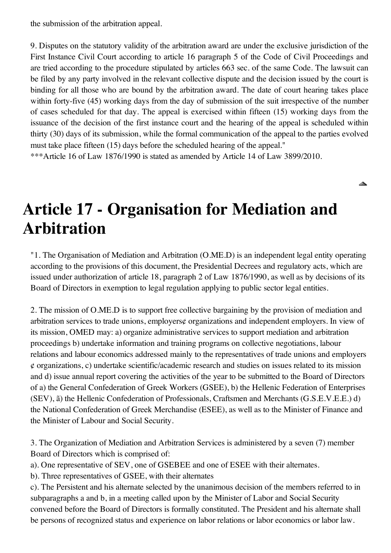the submission of the arbitration appeal.

9. Disputes on the statutory validity of the arbitration award are under the exclusive jurisdiction of the First Instance Civil Court according to article 16 paragraph 5 of the Code of Civil Proceedings and are tried according to the procedure stipulated by articles 663 sec. of the same Code. The lawsuit can be filed by any party involved in the relevant collective dispute and the decision issued by the court is binding for all those who are bound by the arbitration award. The date of court hearing takes place within forty-five (45) working days from the day of submission of the suit irrespective of the number of cases scheduled for that day. The appeal is exercised within fifteen (15) working days from the issuance of the decision of the first instance court and the hearing of the appeal is scheduled within thirty (30) days of its submission, while the formal communication of the appeal to the parties evolved must take place fifteen (15) days before the scheduled hearing of the appeal."

◬

\*\*\*Article 16 of Law 1876/1990 is stated as amended by Article 14 of Law 3899/2010.

#### **Article 17 - Organisation for Mediation and Arbitration**

"1. The Organisation of Mediation and Arbitration (O.ME.D) is an independent legal entity operating according to the provisions of this document, the Presidential Decrees and regulatory acts, which are issued under authorization of article 18, paragraph 2 of Law 1876/1990, as well as by decisions of its Board of Directors in exemption to legal regulation applying to public sector legal entities.

2. The mission of O.ME.D is to support free collective bargaining by the provision of mediation and arbitration services to trade unions, employers¢ organizations and independent employers. In view of its mission, OMED may: a) organize administrative services to support mediation and arbitration proceedings b) undertake information and training programs on collective negotiations, labour relations and labour economics addressed mainly to the representatives of trade unions and employers ¢ organizations, c) undertake scientific/academic research and studies on issues related to its mission and d) issue annual report covering the activities of the year to be submitted to the Board of Directors of a) the General Confederation of Greek Workers (GSEE), b) the Hellenic Federation of Enterprises (SEV), ã) the Hellenic Confederation of Professionals, Craftsmen and Merchants (G.S.E.V.E.E.) d) the National Confederation of Greek Merchandise (ESEE), as well as to the Minister of Finance and the Minister of Labour and Social Security.

3. The Organization of Mediation and Arbitration Services is administered by a seven (7) member Board of Directors which is comprised of:

a). One representative of SEV, one of GSEBEE and one of ESEE with their alternates.

b). Three representatives of GSEE, with their alternates

c). The Persistent and his alternate selected by the unanimous decision of the members referred to in subparagraphs a and b, in a meeting called upon by the Minister of Labor and Social Security convened before the Board of Directors is formally constituted. The President and his alternate shall be persons of recognized status and experience on labor relations or labor economics or labor law.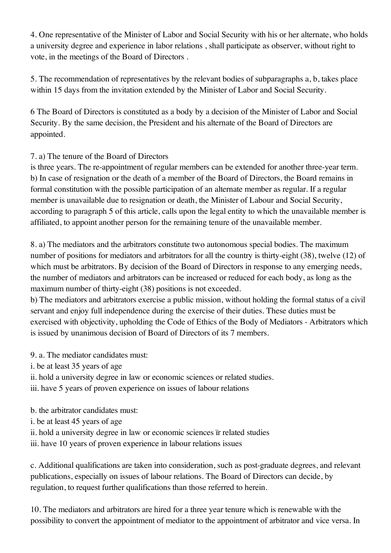4. One representative of the Minister of Labor and Social Security with his or her alternate, who holds a university degree and experience in labor relations , shall participate as observer, without right to vote, in the meetings of the Board of Directors .

5. The recommendation of representatives by the relevant bodies of subparagraphs a, b, takes place within 15 days from the invitation extended by the Minister of Labor and Social Security.

6 The Board of Directors is constituted as a body by a decision of the Minister of Labor and Social Security. By the same decision, the President and his alternate of the Board of Directors are appointed.

#### 7. a) The tenure of the Board of Directors

is three years. The re-appointment of regular members can be extended for another three-year term. b) In case of resignation or the death of a member of the Board of Directors, the Board remains in formal constitution with the possible participation of an alternate member as regular. If a regular member is unavailable due to resignation or death, the Minister of Labour and Social Security, according to paragraph 5 of this article, calls upon the legal entity to which the unavailable member is affiliated, to appoint another person for the remaining tenure of the unavailable member.

8. a) The mediators and the arbitrators constitute two autonomous special bodies. The maximum number of positions for mediators and arbitrators for all the country is thirty-eight (38), twelve (12) of which must be arbitrators. By decision of the Board of Directors in response to any emerging needs, the number of mediators and arbitrators can be increased or reduced for each body, as long as the maximum number of thirty-eight (38) positions is not exceeded.

b) The mediators and arbitrators exercise a public mission, without holding the formal status of a civil servant and enjoy full independence during the exercise of their duties. These duties must be exercised with objectivity, upholding the Code of Ethics of the Body of Mediators - Arbitrators which is issued by unanimous decision of Board of Directors of its 7 members.

#### 9. a. The mediator candidates must:

- i. be at least 35 years of age
- ii. hold a university degree in law or economic sciences or related studies.
- iii. have 5 years of proven experience on issues of labour relations
- b. the arbitrator candidates must:
- i. be at least 45 years of age
- ii. hold a university degree in law or economic sciences ïr related studies
- iii. have 10 years of proven experience in labour relations issues

c. Additional qualifications are taken into consideration, such as post-graduate degrees, and relevant publications, especially on issues of labour relations. The Board of Directors can decide, by regulation, to request further qualifications than those referred to herein.

10. The mediators and arbitrators are hired for a three year tenure which is renewable with the possibility to convert the appointment of mediator to the appointment of arbitrator and vice versa. In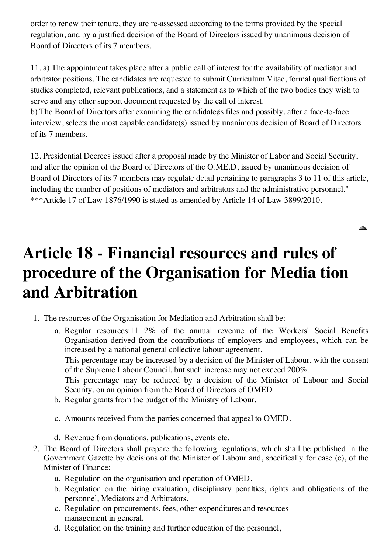order to renew their tenure, they are re-assessed according to the terms provided by the special regulation, and by a justified decision of the Board of Directors issued by unanimous decision of Board of Directors of its 7 members.

11. a) The appointment takes place after a public call of interest for the availability of mediator and arbitrator positions. The candidates are requested to submit Curriculum Vitae, formal qualifications of studies completed, relevant publications, and a statement as to which of the two bodies they wish to serve and any other support document requested by the call of interest.

b) The Board of Directors after examining the candidate¢s files and possibly, after a face-to-face interview, selects the most capable candidate(s) issued by unanimous decision of Board of Directors of its 7 members.

12. Presidential Decrees issued after a proposal made by the Minister of Labor and Social Security, and after the opinion of the Board of Directors of the O.ME.D, issued by unanimous decision of Board of Directors of its 7 members may regulate detail pertaining to paragraphs 3 to 11 of this article, including the number of positions of mediators and arbitrators and the administrative personnel." \*\*\*Article 17 of Law 1876/1990 is stated as amended by Article 14 of Law 3899/2010.

◬

## **Article 18 - Financial resources and rules of procedure of the Organisation for Media tion and Arbitration**

- 1. The resources of the Organisation for Mediation and Arbitration shall be:
	- a. Regular resources:11 2% of the annual revenue of the Workers' Social Benefits Organisation derived from the contributions of employers and employees, which can be increased by a national general collective labour agreement.

This percentage may be increased by a decision of the Minister of Labour, with the consent of the Supreme Labour Council, but such increase may not exceed 200%.

This percentage may be reduced by a decision of the Minister of Labour and Social Security, on an opinion from the Board of Directors of OMED.

- b. Regular grants from the budget of the Ministry of Labour.
- c. Amounts received from the parties concerned that appeal to OMED.
- d. Revenue from donations, publications, events etc.
- 2. The Board of Directors shall prepare the following regulations, which shall be published in the Government Gazette by decisions of the Minister of Labour and, specifically for case (c), of the Minister of Finance:
	- a. Regulation on the organisation and operation of OMED.
	- b. Regulation on the hiring evaluation, disciplinary penalties, rights and obligations of the personnel, Mediators and Arbitrators.
	- c. Regulation on procurements, fees, other expenditures and resources management in general.
	- d. Regulation on the training and further education of the personnel,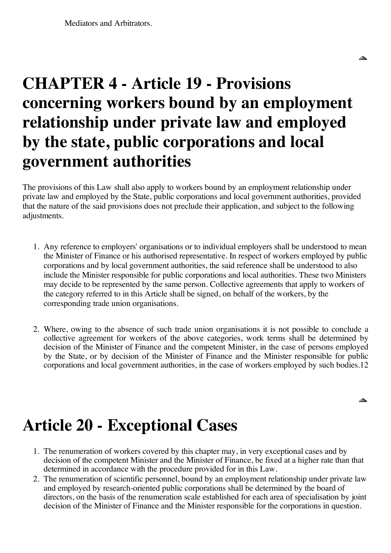## **CHAPTER 4 - Article 19 - Provisions concerning workers bound by an employment relationship under private law and employed by the state, public corporations and local government authorities**

▴

◬

The provisions of this Law shall also apply to workers bound by an employment relationship under private law and employed by the State, public corporations and local government authorities, provided that the nature of the said provisions does not preclude their application, and subject to the following adjustments.

- 1. Any reference to employers' organisations or to individual employers shall be understood to mean the Minister of Finance or his authorised representative. In respect of workers employed by public corporations and by local government authorities, the said reference shall be understood to also include the Minister responsible for public corporations and local authorities. These two Ministers may decide to be represented by the same person. Collective agreements that apply to workers of the category referred to in this Article shall be signed, on behalf of the workers, by the corresponding trade union organisations.
- 2. Where, owing to the absence of such trade union organisations it is not possible to conclude a collective agreement for workers of the above categories, work terms shall be determined by decision of the Minister of Finance and the competent Minister, in the case of persons employed by the State, or by decision of the Minister of Finance and the Minister responsible for public corporations and local government authorities, in the case of workers employed by such bodies.12

## **Article 20 - Exceptional Cases**

- 1. The renumeration of workers covered by this chapter may, in very exceptional cases and by decision of the competent Minister and the Minister of Finance, be fixed at a higher rate than that determined in accordance with the procedure provided for in this Law.
- 2. The renumeration of scientific personnel, bound by an employment relationship under private law and employed by research-oriented public corporations shall be determined by the board of directors, on the basis of the renumeration scale established for each area of specialisation by joint decision of the Minister of Finance and the Minister responsible for the corporations in question.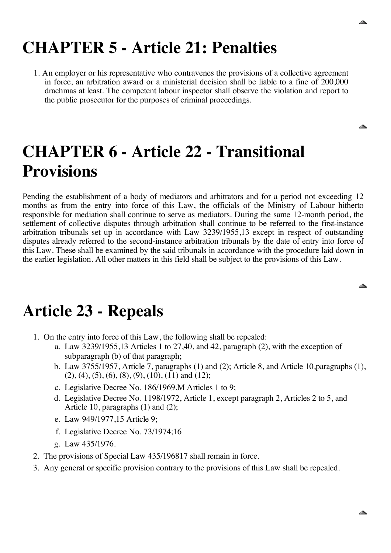◬

◬

## **CHAPTER 5 - Article 21: Penalties**

1. An employer or his representative who contravenes the provisions of a collective agreement in force, an arbitration award or a ministerial decision shall be liable to a fine of 200,000 drachmas at least. The competent labour inspector shall observe the violation and report to the public prosecutor for the purposes of criminal proceedings.

## **CHAPTER 6 - Article 22 - Transitional Provisions**

Pending the establishment of a body of mediators and arbitrators and for a period not exceeding 12 months as from the entry into force of this Law, the officials of the Ministry of Labour hitherto responsible for mediation shall continue to serve as mediators. During the same 12-month period, the settlement of collective disputes through arbitration shall continue to be referred to the first-instance arbitration tribunals set up in accordance with Law 3239/1955,13 except in respect of outstanding disputes already referred to the second-instance arbitration tribunals by the date of entry into force of this Law. These shall be examined by the said tribunals in accordance with the procedure laid down in the earlier legislation. All other matters in this field shall be subject to the provisions of this Law.

#### **Article 23 - Repeals**

- 1. On the entry into force of this Law, the following shall be repealed:
	- a. Law 3239/1955,13 Articles 1 to 27,40, and 42, paragraph (2), with the exception of subparagraph (b) of that paragraph;
	- b. Law 3755/1957, Article 7, paragraphs (1) and (2); Article 8, and Article 10,paragraphs (1),  $(2), (4), (5), (6), (8), (9), (10), (11)$  and  $(12)$ ;
	- c. Legislative Decree No. 186/1969,M Articles 1 to 9;
	- d. Legislative Decree No. 1198/1972, Article 1, except paragraph 2, Articles 2 to 5, and Article 10, paragraphs (1) and (2);
	- e. Law 949/1977,15 Article 9;
	- f. Legislative Decree No. 73/1974;16
	- g. Law 435/1976.
- 2. The provisions of Special Law 435/196817 shall remain in force.
- 3. Any general or specific provision contrary to the provisions of this Law shall be repealed.